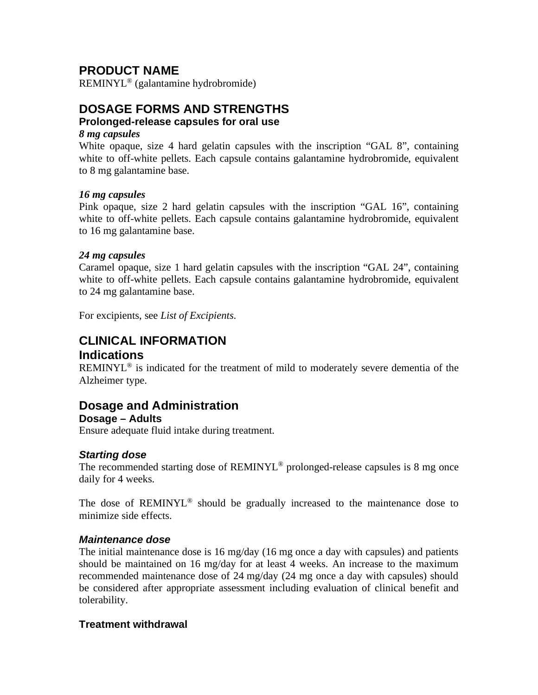## **PRODUCT NAME**

REMINYL® (galantamine hydrobromide)

## **DOSAGE FORMS AND STRENGTHS**

#### **Prolonged-release capsules for oral use**

#### *8 mg capsules*

White opaque, size 4 hard gelatin capsules with the inscription "GAL 8", containing white to off-white pellets. Each capsule contains galantamine hydrobromide, equivalent to 8 mg galantamine base.

#### *16 mg capsules*

Pink opaque, size 2 hard gelatin capsules with the inscription "GAL 16", containing white to off-white pellets. Each capsule contains galantamine hydrobromide, equivalent to 16 mg galantamine base.

#### *24 mg capsules*

Caramel opaque, size 1 hard gelatin capsules with the inscription "GAL 24", containing white to off-white pellets. Each capsule contains galantamine hydrobromide, equivalent to 24 mg galantamine base.

For excipients, see *List of Excipients*.

## **CLINICAL INFORMATION Indications**

REMINYL<sup>®</sup> is indicated for the treatment of mild to moderately severe dementia of the Alzheimer type.

## **Dosage and Administration**

#### **Dosage – Adults**

Ensure adequate fluid intake during treatment.

#### *Starting dose*

The recommended starting dose of REMINYL<sup>®</sup> prolonged-release capsules is 8 mg once daily for 4 weeks.

The dose of REMINYL® should be gradually increased to the maintenance dose to minimize side effects.

#### *Maintenance dose*

The initial maintenance dose is 16 mg/day (16 mg once a day with capsules) and patients should be maintained on 16 mg/day for at least 4 weeks. An increase to the maximum recommended maintenance dose of 24 mg/day (24 mg once a day with capsules) should be considered after appropriate assessment including evaluation of clinical benefit and tolerability.

#### **Treatment withdrawal**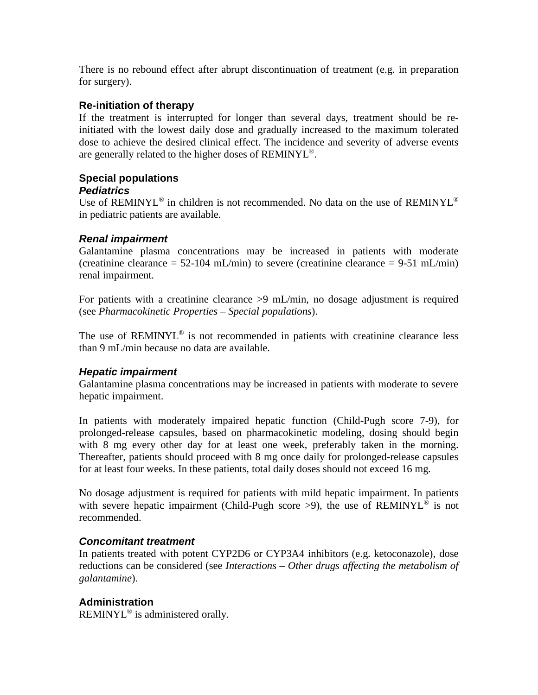There is no rebound effect after abrupt discontinuation of treatment (e.g. in preparation for surgery).

#### **Re-initiation of therapy**

If the treatment is interrupted for longer than several days, treatment should be reinitiated with the lowest daily dose and gradually increased to the maximum tolerated dose to achieve the desired clinical effect. The incidence and severity of adverse events are generally related to the higher doses of REMINYL®.

## **Special populations**

#### *Pediatrics*

Use of REMINYL<sup>®</sup> in children is not recommended. No data on the use of REMINYL<sup>®</sup> in pediatric patients are available.

#### *Renal impairment*

Galantamine plasma concentrations may be increased in patients with moderate (creatinine clearance  $= 52-104$  mL/min) to severe (creatinine clearance  $= 9-51$  mL/min) renal impairment.

For patients with a creatinine clearance >9 mL/min, no dosage adjustment is required (see *Pharmacokinetic Properties – Special populations*).

The use of  $REMINYL^@$  is not recommended in patients with creatinine clearance less than 9 mL/min because no data are available.

#### *Hepatic impairment*

Galantamine plasma concentrations may be increased in patients with moderate to severe hepatic impairment.

In patients with moderately impaired hepatic function (Child-Pugh score 7-9), for prolonged-release capsules, based on pharmacokinetic modeling, dosing should begin with 8 mg every other day for at least one week, preferably taken in the morning. Thereafter, patients should proceed with 8 mg once daily for prolonged-release capsules for at least four weeks. In these patients, total daily doses should not exceed 16 mg.

No dosage adjustment is required for patients with mild hepatic impairment. In patients with severe hepatic impairment (Child-Pugh score >9), the use of REMINYL<sup>®</sup> is not recommended.

#### *Concomitant treatment*

In patients treated with potent CYP2D6 or CYP3A4 inhibitors (e.g. ketoconazole), dose reductions can be considered (see *Interactions – Other drugs affecting the metabolism of galantamine*).

#### **Administration**

REMINYL® is administered orally.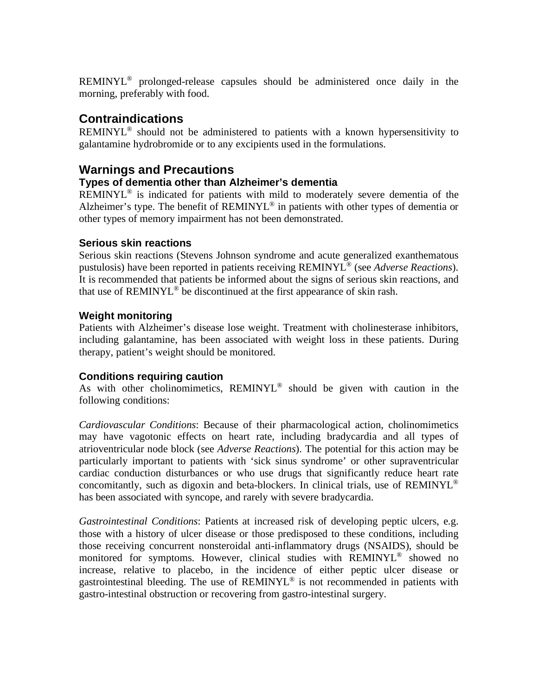REMINYL® prolonged-release capsules should be administered once daily in the morning, preferably with food.

## **Contraindications**

REMINYL® should not be administered to patients with a known hypersensitivity to galantamine hydrobromide or to any excipients used in the formulations.

## **Warnings and Precautions**

#### **Types of dementia other than Alzheimer's dementia**

REMINYL<sup>®</sup> is indicated for patients with mild to moderately severe dementia of the Alzheimer's type. The benefit of REMINYL® in patients with other types of dementia or other types of memory impairment has not been demonstrated.

#### **Serious skin reactions**

Serious skin reactions (Stevens Johnson syndrome and acute generalized exanthematous pustulosis) have been reported in patients receiving REMINYL® (see *Adverse Reactions*). It is recommended that patients be informed about the signs of serious skin reactions, and that use of REMINYL® be discontinued at the first appearance of skin rash.

#### **Weight monitoring**

Patients with Alzheimer's disease lose weight. Treatment with cholinesterase inhibitors, including galantamine, has been associated with weight loss in these patients. During therapy, patient's weight should be monitored.

#### **Conditions requiring caution**

As with other cholinomimetics,  $REMINYL^{\circledR}$  should be given with caution in the following conditions:

*Cardiovascular Conditions*: Because of their pharmacological action, cholinomimetics may have vagotonic effects on heart rate, including bradycardia and all types of atrioventricular node block (see *Adverse Reactions*). The potential for this action may be particularly important to patients with 'sick sinus syndrome' or other supraventricular cardiac conduction disturbances or who use drugs that significantly reduce heart rate concomitantly, such as digoxin and beta-blockers. In clinical trials, use of REMINYL® has been associated with syncope, and rarely with severe bradycardia.

*Gastrointestinal Conditions*: Patients at increased risk of developing peptic ulcers, e.g. those with a history of ulcer disease or those predisposed to these conditions, including those receiving concurrent nonsteroidal anti-inflammatory drugs (NSAIDS), should be monitored for symptoms. However, clinical studies with REMINYL<sup>®</sup> showed no increase, relative to placebo, in the incidence of either peptic ulcer disease or gastrointestinal bleeding. The use of REMINYL® is not recommended in patients with gastro-intestinal obstruction or recovering from gastro-intestinal surgery.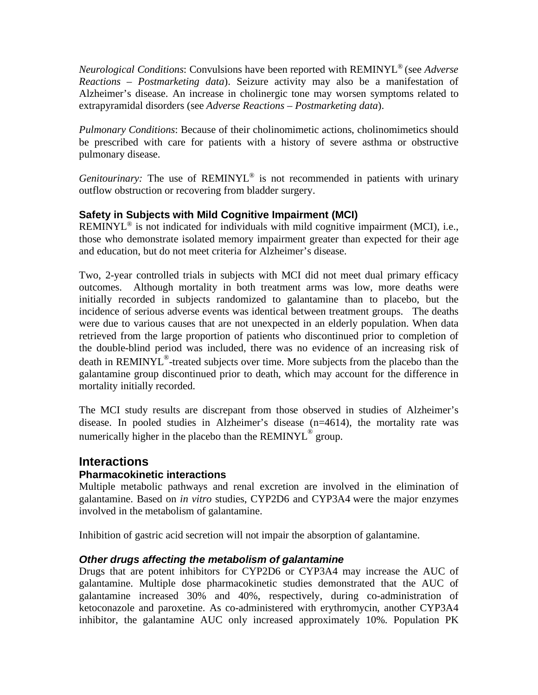*Neurological Conditions*: Convulsions have been reported with REMINYL® (see *Adverse Reactions – Postmarketing data*). Seizure activity may also be a manifestation of Alzheimer's disease. An increase in cholinergic tone may worsen symptoms related to extrapyramidal disorders (see *Adverse Reactions – Postmarketing data*).

*Pulmonary Conditions*: Because of their cholinomimetic actions, cholinomimetics should be prescribed with care for patients with a history of severe asthma or obstructive pulmonary disease.

*Genitourinary:* The use of REMINYL<sup>®</sup> is not recommended in patients with urinary outflow obstruction or recovering from bladder surgery.

#### **Safety in Subjects with Mild Cognitive Impairment (MCI)**

REMINYL<sup>®</sup> is not indicated for individuals with mild cognitive impairment (MCI), i.e., those who demonstrate isolated memory impairment greater than expected for their age and education, but do not meet criteria for Alzheimer's disease.

Two, 2-year controlled trials in subjects with MCI did not meet dual primary efficacy outcomes. Although mortality in both treatment arms was low, more deaths were initially recorded in subjects randomized to galantamine than to placebo, but the incidence of serious adverse events was identical between treatment groups. The deaths were due to various causes that are not unexpected in an elderly population. When data retrieved from the large proportion of patients who discontinued prior to completion of the double-blind period was included, there was no evidence of an increasing risk of death in REMINYL<sup>®</sup>-treated subjects over time. More subjects from the placebo than the galantamine group discontinued prior to death, which may account for the difference in mortality initially recorded.

The MCI study results are discrepant from those observed in studies of Alzheimer's disease. In pooled studies in Alzheimer's disease (n=4614), the mortality rate was numerically higher in the placebo than the REMINYL<sup>®</sup> group.

## **Interactions**

#### **Pharmacokinetic interactions**

Multiple metabolic pathways and renal excretion are involved in the elimination of galantamine. Based on *in vitro* studies, CYP2D6 and CYP3A4 were the major enzymes involved in the metabolism of galantamine.

Inhibition of gastric acid secretion will not impair the absorption of galantamine.

#### *Other drugs affecting the metabolism of galantamine*

Drugs that are potent inhibitors for CYP2D6 or CYP3A4 may increase the AUC of galantamine. Multiple dose pharmacokinetic studies demonstrated that the AUC of galantamine increased 30% and 40%, respectively, during co-administration of ketoconazole and paroxetine. As co-administered with erythromycin, another CYP3A4 inhibitor, the galantamine AUC only increased approximately 10%. Population PK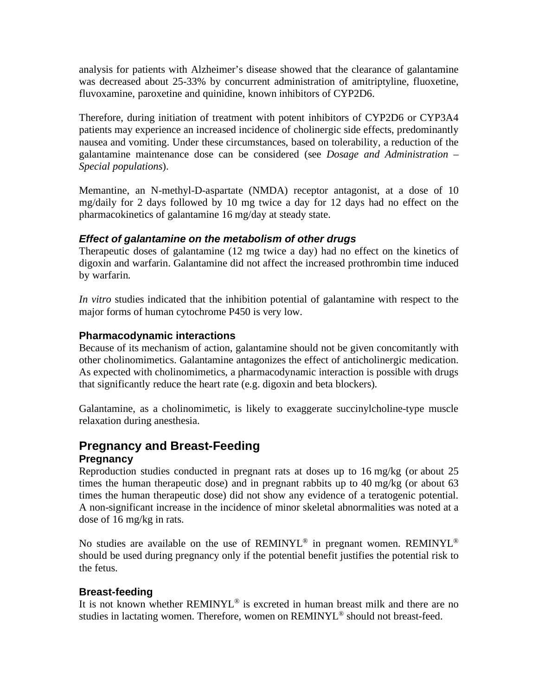analysis for patients with Alzheimer's disease showed that the clearance of galantamine was decreased about 25-33% by concurrent administration of amitriptyline, fluoxetine, fluvoxamine, paroxetine and quinidine, known inhibitors of CYP2D6.

Therefore, during initiation of treatment with potent inhibitors of CYP2D6 or CYP3A4 patients may experience an increased incidence of cholinergic side effects, predominantly nausea and vomiting. Under these circumstances, based on tolerability, a reduction of the galantamine maintenance dose can be considered (see *Dosage and Administration – Special populations*).

Memantine, an N-methyl-D-aspartate (NMDA) receptor antagonist, at a dose of 10 mg/daily for 2 days followed by 10 mg twice a day for 12 days had no effect on the pharmacokinetics of galantamine 16 mg/day at steady state.

#### *Effect of galantamine on the metabolism of other drugs*

Therapeutic doses of galantamine (12 mg twice a day) had no effect on the kinetics of digoxin and warfarin. Galantamine did not affect the increased prothrombin time induced by warfarin.

*In vitro* studies indicated that the inhibition potential of galantamine with respect to the major forms of human cytochrome P450 is very low.

#### **Pharmacodynamic interactions**

Because of its mechanism of action, galantamine should not be given concomitantly with other cholinomimetics. Galantamine antagonizes the effect of anticholinergic medication. As expected with cholinomimetics, a pharmacodynamic interaction is possible with drugs that significantly reduce the heart rate (e.g. digoxin and beta blockers).

Galantamine, as a cholinomimetic, is likely to exaggerate succinylcholine-type muscle relaxation during anesthesia.

# **Pregnancy and Breast-Feeding**

#### **Pregnancy**

Reproduction studies conducted in pregnant rats at doses up to 16 mg/kg (or about 25 times the human therapeutic dose) and in pregnant rabbits up to 40 mg/kg (or about 63 times the human therapeutic dose) did not show any evidence of a teratogenic potential. A non-significant increase in the incidence of minor skeletal abnormalities was noted at a dose of 16 mg/kg in rats.

No studies are available on the use of REMINYL<sup>®</sup> in pregnant women. REMINYL<sup>®</sup> should be used during pregnancy only if the potential benefit justifies the potential risk to the fetus.

#### **Breast-feeding**

It is not known whether REMINYL<sup>®</sup> is excreted in human breast milk and there are no studies in lactating women. Therefore, women on REMINYL<sup>®</sup> should not breast-feed.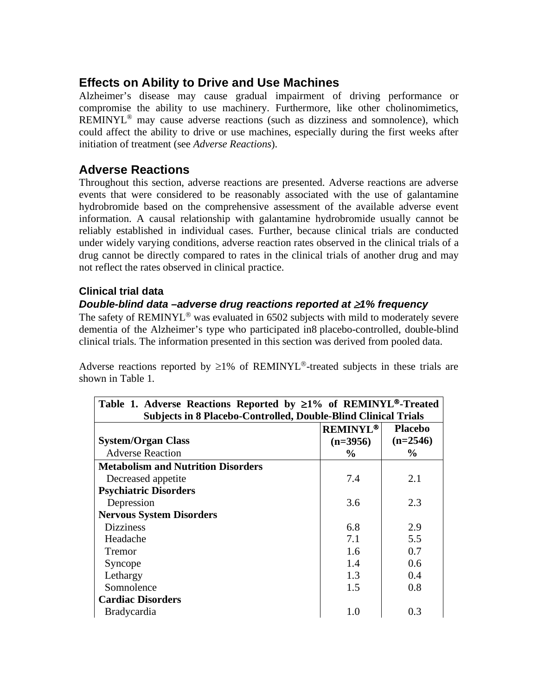## **Effects on Ability to Drive and Use Machines**

Alzheimer's disease may cause gradual impairment of driving performance or compromise the ability to use machinery. Furthermore, like other cholinomimetics, REMINYL® may cause adverse reactions (such as dizziness and somnolence), which could affect the ability to drive or use machines, especially during the first weeks after initiation of treatment (see *Adverse Reactions*).

## **Adverse Reactions**

Throughout this section, adverse reactions are presented. Adverse reactions are adverse events that were considered to be reasonably associated with the use of galantamine hydrobromide based on the comprehensive assessment of the available adverse event information. A causal relationship with galantamine hydrobromide usually cannot be reliably established in individual cases. Further, because clinical trials are conducted under widely varying conditions, adverse reaction rates observed in the clinical trials of a drug cannot be directly compared to rates in the clinical trials of another drug and may not reflect the rates observed in clinical practice.

#### **Clinical trial data**

#### *Double-blind data –adverse drug reactions reported at* ≥*1% frequency*

The safety of REMINYL<sup>®</sup> was evaluated in 6502 subjects with mild to moderately severe dementia of the Alzheimer's type who participated in8 placebo-controlled, double-blind clinical trials. The information presented in this section was derived from pooled data.

Adverse reactions reported by  $\geq$ 1% of REMINYL<sup>®</sup>-treated subjects in these trials are shown in Table 1.

| Table 1. Adverse Reactions Reported by $\geq 1\%$ of REMINYL®-Treated |                 |                |  |
|-----------------------------------------------------------------------|-----------------|----------------|--|
| <b>Subjects in 8 Placebo-Controlled, Double-Blind Clinical Trials</b> |                 |                |  |
|                                                                       | <b>REMINYL®</b> | <b>Placebo</b> |  |
| <b>System/Organ Class</b>                                             | $(n=3956)$      | $(n=2546)$     |  |
| <b>Adverse Reaction</b>                                               | $\frac{0}{0}$   | $\%$           |  |
| <b>Metabolism and Nutrition Disorders</b>                             |                 |                |  |
| Decreased appetite                                                    | 7.4             | 2.1            |  |
| <b>Psychiatric Disorders</b>                                          |                 |                |  |
| Depression                                                            | 3.6             | 2.3            |  |
| <b>Nervous System Disorders</b>                                       |                 |                |  |
| <b>Dizziness</b>                                                      | 6.8             | 2.9            |  |
| Headache                                                              | 7.1             | 5.5            |  |
| <b>Tremor</b>                                                         | 1.6             | 0.7            |  |
| Syncope                                                               | 1.4             | 0.6            |  |
| Lethargy                                                              | 1.3             | 0.4            |  |
| Somnolence                                                            | 1.5             | 0.8            |  |
| <b>Cardiac Disorders</b>                                              |                 |                |  |
| <b>Bradycardia</b>                                                    | 1.0             | 0.3            |  |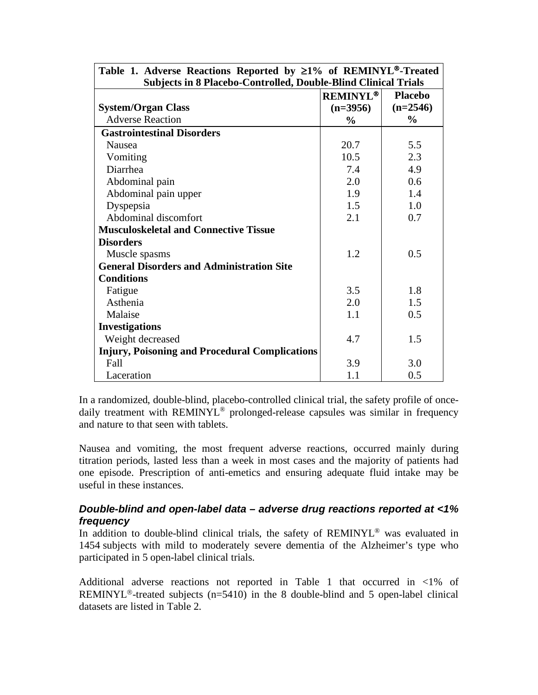| Table 1. Adverse Reactions Reported by $\geq 1\%$ of REMINYL®-Treated |                 |                |  |
|-----------------------------------------------------------------------|-----------------|----------------|--|
| <b>Subjects in 8 Placebo-Controlled, Double-Blind Clinical Trials</b> |                 |                |  |
|                                                                       | <b>REMINYL®</b> | <b>Placebo</b> |  |
| <b>System/Organ Class</b>                                             | $(n=3956)$      | $(n=2546)$     |  |
| <b>Adverse Reaction</b>                                               | $\frac{0}{0}$   | $\frac{0}{0}$  |  |
| <b>Gastrointestinal Disorders</b>                                     |                 |                |  |
| Nausea                                                                | 20.7            | 5.5            |  |
| Vomiting                                                              | 10.5            | 2.3            |  |
| Diarrhea                                                              | 7.4             | 4.9            |  |
| Abdominal pain                                                        | 2.0             | 0.6            |  |
| Abdominal pain upper                                                  | 1.9             | 1.4            |  |
| Dyspepsia                                                             | 1.5             | 1.0            |  |
| Abdominal discomfort                                                  | 2.1             | 0.7            |  |
| <b>Musculoskeletal and Connective Tissue</b>                          |                 |                |  |
| <b>Disorders</b>                                                      |                 |                |  |
| Muscle spasms                                                         | 1.2             | 0.5            |  |
| <b>General Disorders and Administration Site</b>                      |                 |                |  |
| <b>Conditions</b>                                                     |                 |                |  |
| Fatigue                                                               | 3.5             | 1.8            |  |
| Asthenia                                                              | 2.0             | 1.5            |  |
| Malaise                                                               | 1.1             | 0.5            |  |
| <b>Investigations</b>                                                 |                 |                |  |
| Weight decreased                                                      | 4.7             | 1.5            |  |
| <b>Injury, Poisoning and Procedural Complications</b>                 |                 |                |  |
| Fall                                                                  | 3.9             | 3.0            |  |
| Laceration                                                            | 1.1             | 0.5            |  |

In a randomized, double-blind, placebo-controlled clinical trial, the safety profile of oncedaily treatment with REMINYL<sup>®</sup> prolonged-release capsules was similar in frequency and nature to that seen with tablets.

Nausea and vomiting, the most frequent adverse reactions, occurred mainly during titration periods, lasted less than a week in most cases and the majority of patients had one episode. Prescription of anti-emetics and ensuring adequate fluid intake may be useful in these instances.

#### *Double-blind and open-label data – adverse drug reactions reported at <1% frequency*

In addition to double-blind clinical trials, the safety of REMINYL<sup>®</sup> was evaluated in 1454 subjects with mild to moderately severe dementia of the Alzheimer's type who participated in 5 open-label clinical trials.

Additional adverse reactions not reported in Table 1 that occurred in <1% of REMINYL<sup>®</sup>-treated subjects ( $n=5410$ ) in the 8 double-blind and 5 open-label clinical datasets are listed in Table 2.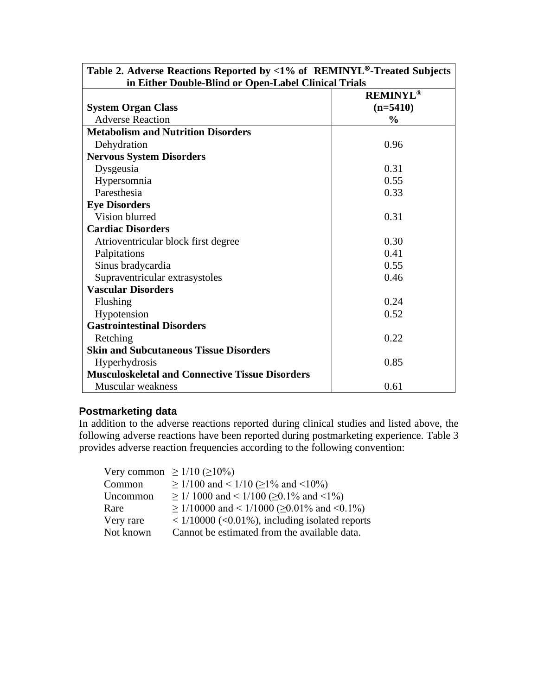| Table 2. Adverse Reactions Reported by <1% of REMINYL®-Treated Subjects<br>in Either Double-Blind or Open-Label Clinical Trials |                 |  |
|---------------------------------------------------------------------------------------------------------------------------------|-----------------|--|
|                                                                                                                                 | <b>REMINYL®</b> |  |
| <b>System Organ Class</b>                                                                                                       | $(n=5410)$      |  |
| <b>Adverse Reaction</b>                                                                                                         | $\frac{0}{0}$   |  |
| <b>Metabolism and Nutrition Disorders</b>                                                                                       |                 |  |
| Dehydration                                                                                                                     | 0.96            |  |
| <b>Nervous System Disorders</b>                                                                                                 |                 |  |
| Dysgeusia                                                                                                                       | 0.31            |  |
| Hypersomnia                                                                                                                     | 0.55            |  |
| Paresthesia                                                                                                                     | 0.33            |  |
| <b>Eye Disorders</b>                                                                                                            |                 |  |
| Vision blurred                                                                                                                  | 0.31            |  |
| <b>Cardiac Disorders</b>                                                                                                        |                 |  |
| Atrioventricular block first degree                                                                                             | 0.30            |  |
| Palpitations                                                                                                                    | 0.41            |  |
| Sinus bradycardia                                                                                                               | 0.55            |  |
| Supraventricular extrasystoles                                                                                                  | 0.46            |  |
| <b>Vascular Disorders</b>                                                                                                       |                 |  |
| Flushing                                                                                                                        | 0.24            |  |
| Hypotension                                                                                                                     | 0.52            |  |
| <b>Gastrointestinal Disorders</b>                                                                                               |                 |  |
| Retching                                                                                                                        | 0.22            |  |
| <b>Skin and Subcutaneous Tissue Disorders</b>                                                                                   |                 |  |
| Hyperhydrosis                                                                                                                   | 0.85            |  |
| <b>Musculoskeletal and Connective Tissue Disorders</b>                                                                          |                 |  |
| <b>Muscular</b> weakness                                                                                                        | 0.61            |  |

#### **Postmarketing data**

In addition to the adverse reactions reported during clinical studies and listed above, the following adverse reactions have been reported during postmarketing experience. Table 3 provides adverse reaction frequencies according to the following convention:

Very common  $\geq 1/10$  ( $\geq 10\%$ ) Common  $\geq 1/100$  and <  $1/10$  ( $\geq 1\%$  and < 10%) Uncommon ≥ 1/ 1000 and < 1/100 ( $≥$ 0.1% and <1%) Rare  $\geq 1/10000$  and <  $1/1000$  ( $\geq 0.01\%$  and < 0.1%) Very rare  $\langle 1/10000 \rangle$  (<0.01%), including isolated reports<br>Not known Cannot be estimated from the available data. Cannot be estimated from the available data.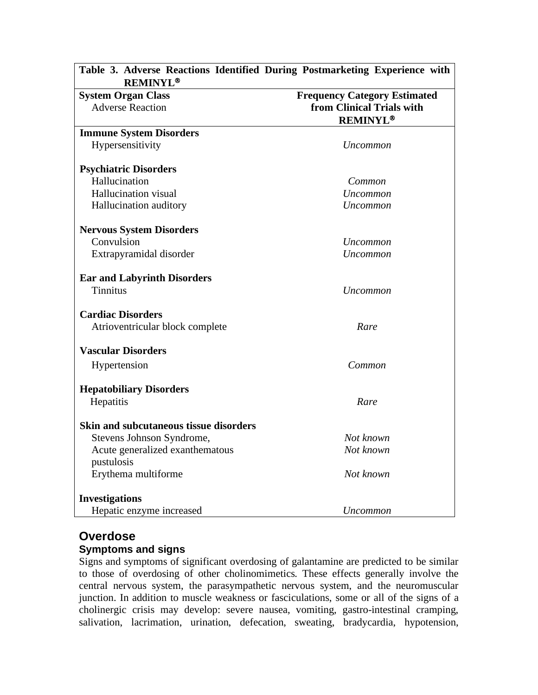| Table 3. Adverse Reactions Identified During Postmarketing Experience with<br><b>REMINYL®</b> |                                     |
|-----------------------------------------------------------------------------------------------|-------------------------------------|
| <b>System Organ Class</b>                                                                     | <b>Frequency Category Estimated</b> |
| <b>Adverse Reaction</b>                                                                       | from Clinical Trials with           |
|                                                                                               | <b>REMINYL®</b>                     |
| <b>Immune System Disorders</b>                                                                |                                     |
| Hypersensitivity                                                                              | Uncommon                            |
| <b>Psychiatric Disorders</b>                                                                  |                                     |
| Hallucination                                                                                 | Common                              |
| <b>Hallucination</b> visual                                                                   | Uncommon                            |
| Hallucination auditory                                                                        | Uncommon                            |
| <b>Nervous System Disorders</b>                                                               |                                     |
| Convulsion                                                                                    | Uncommon                            |
| Extrapyramidal disorder                                                                       | Uncommon                            |
| <b>Ear and Labyrinth Disorders</b>                                                            |                                     |
| <b>Tinnitus</b>                                                                               | Uncommon                            |
| <b>Cardiac Disorders</b>                                                                      |                                     |
| Atrioventricular block complete                                                               | Rare                                |
| <b>Vascular Disorders</b>                                                                     |                                     |
| Hypertension                                                                                  | Common                              |
| <b>Hepatobiliary Disorders</b>                                                                |                                     |
| Hepatitis                                                                                     | Rare                                |
| <b>Skin and subcutaneous tissue disorders</b>                                                 |                                     |
| Stevens Johnson Syndrome,                                                                     | Not known                           |
| Acute generalized exanthematous                                                               | Not known                           |
| pustulosis                                                                                    |                                     |
| Erythema multiforme                                                                           | Not known                           |
| <b>Investigations</b>                                                                         |                                     |
| Hepatic enzyme increased                                                                      | Uncommon                            |

## **Overdose**

#### **Symptoms and signs**

Signs and symptoms of significant overdosing of galantamine are predicted to be similar to those of overdosing of other cholinomimetics. These effects generally involve the central nervous system, the parasympathetic nervous system, and the neuromuscular junction. In addition to muscle weakness or fasciculations, some or all of the signs of a cholinergic crisis may develop: severe nausea, vomiting, gastro-intestinal cramping, salivation, lacrimation, urination, defecation, sweating, bradycardia, hypotension,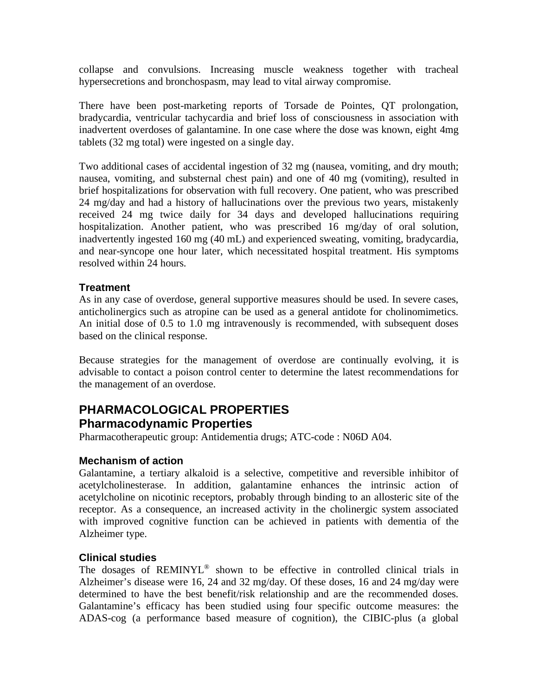collapse and convulsions. Increasing muscle weakness together with tracheal hypersecretions and bronchospasm, may lead to vital airway compromise.

There have been post-marketing reports of Torsade de Pointes, QT prolongation, bradycardia, ventricular tachycardia and brief loss of consciousness in association with inadvertent overdoses of galantamine. In one case where the dose was known, eight 4mg tablets (32 mg total) were ingested on a single day.

Two additional cases of accidental ingestion of 32 mg (nausea, vomiting, and dry mouth; nausea, vomiting, and substernal chest pain) and one of 40 mg (vomiting), resulted in brief hospitalizations for observation with full recovery. One patient, who was prescribed 24 mg/day and had a history of hallucinations over the previous two years, mistakenly received 24 mg twice daily for 34 days and developed hallucinations requiring hospitalization. Another patient, who was prescribed 16 mg/day of oral solution, inadvertently ingested 160 mg (40 mL) and experienced sweating, vomiting, bradycardia, and near-syncope one hour later, which necessitated hospital treatment. His symptoms resolved within 24 hours.

#### **Treatment**

As in any case of overdose, general supportive measures should be used. In severe cases, anticholinergics such as atropine can be used as a general antidote for cholinomimetics. An initial dose of 0.5 to 1.0 mg intravenously is recommended, with subsequent doses based on the clinical response.

Because strategies for the management of overdose are continually evolving, it is advisable to contact a poison control center to determine the latest recommendations for the management of an overdose.

## **PHARMACOLOGICAL PROPERTIES Pharmacodynamic Properties**

Pharmacotherapeutic group: Antidementia drugs; ATC-code : N06D A04.

#### **Mechanism of action**

Galantamine, a tertiary alkaloid is a selective, competitive and reversible inhibitor of acetylcholinesterase. In addition, galantamine enhances the intrinsic action of acetylcholine on nicotinic receptors, probably through binding to an allosteric site of the receptor. As a consequence, an increased activity in the cholinergic system associated with improved cognitive function can be achieved in patients with dementia of the Alzheimer type.

#### **Clinical studies**

The dosages of REMINYL® shown to be effective in controlled clinical trials in Alzheimer's disease were 16, 24 and 32 mg/day. Of these doses, 16 and 24 mg/day were determined to have the best benefit/risk relationship and are the recommended doses. Galantamine's efficacy has been studied using four specific outcome measures: the ADAS-cog (a performance based measure of cognition), the CIBIC-plus (a global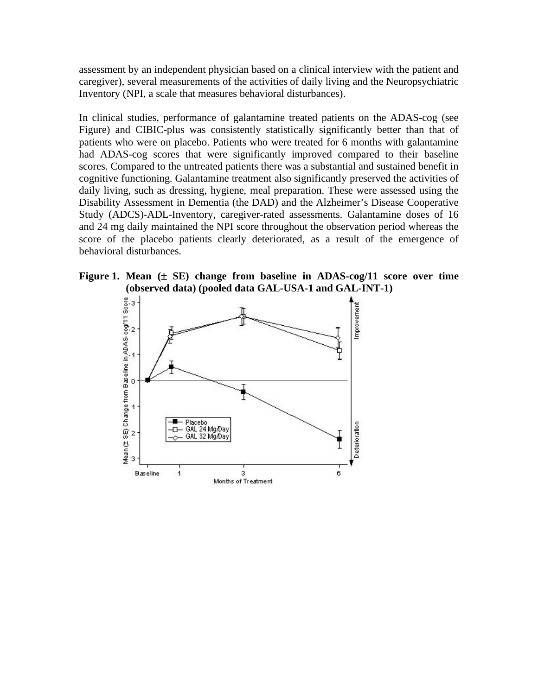assessment by an independent physician based on a clinical interview with the patient and caregiver), several measurements of the activities of daily living and the Neuropsychiatric Inventory (NPI, a scale that measures behavioral disturbances).

In clinical studies, performance of galantamine treated patients on the ADAS-cog (see Figure) and CIBIC-plus was consistently statistically significantly better than that of patients who were on placebo. Patients who were treated for 6 months with galantamine had ADAS-cog scores that were significantly improved compared to their baseline scores. Compared to the untreated patients there was a substantial and sustained benefit in cognitive functioning. Galantamine treatment also significantly preserved the activities of daily living, such as dressing, hygiene, meal preparation. These were assessed using the Disability Assessment in Dementia (the DAD) and the Alzheimer's Disease Cooperative Study (ADCS)-ADL-Inventory, caregiver-rated assessments. Galantamine doses of 16 and 24 mg daily maintained the NPI score throughout the observation period whereas the score of the placebo patients clearly deteriorated, as a result of the emergence of behavioral disturbances.



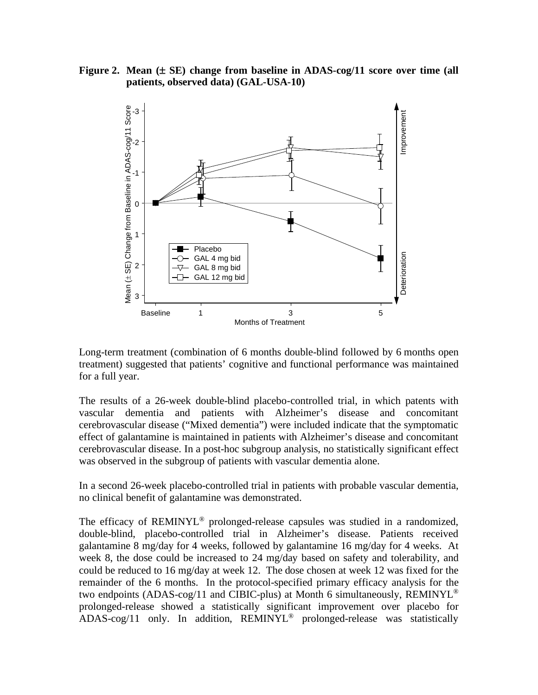**Figure 2. Mean (**± **SE) change from baseline in ADAS-cog/11 score over time (all patients, observed data) (GAL-USA-10)**



Long-term treatment (combination of 6 months double-blind followed by 6 months open treatment) suggested that patients' cognitive and functional performance was maintained for a full year.

The results of a 26-week double-blind placebo-controlled trial, in which patents with vascular dementia and patients with Alzheimer's disease and concomitant cerebrovascular disease ("Mixed dementia") were included indicate that the symptomatic effect of galantamine is maintained in patients with Alzheimer's disease and concomitant cerebrovascular disease. In a post-hoc subgroup analysis, no statistically significant effect was observed in the subgroup of patients with vascular dementia alone.

In a second 26-week placebo-controlled trial in patients with probable vascular dementia, no clinical benefit of galantamine was demonstrated.

The efficacy of REMINYL<sup>®</sup> prolonged-release capsules was studied in a randomized, double-blind, placebo-controlled trial in Alzheimer's disease. Patients received galantamine 8 mg/day for 4 weeks, followed by galantamine 16 mg/day for 4 weeks. At week 8, the dose could be increased to 24 mg/day based on safety and tolerability, and could be reduced to 16 mg/day at week 12. The dose chosen at week 12 was fixed for the remainder of the 6 months. In the protocol-specified primary efficacy analysis for the two endpoints (ADAS-cog/11 and CIBIC-plus) at Month 6 simultaneously, REMINYL<sup>®</sup> prolonged-release showed a statistically significant improvement over placebo for  $ADAS-cog/11$  only. In addition,  $REMINYL^@$  prolonged-release was statistically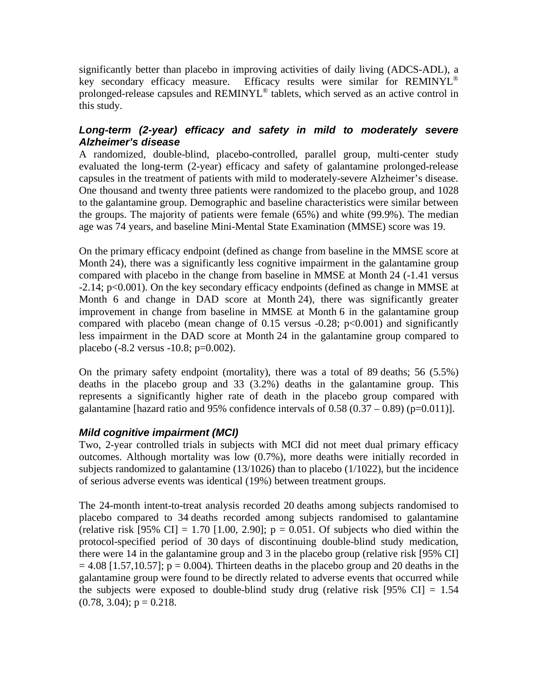significantly better than placebo in improving activities of daily living (ADCS-ADL), a key secondary efficacy measure. Efficacy results were similar for REMINYL<sup>®</sup> prolonged-release capsules and REMINYL® tablets, which served as an active control in this study.

#### *Long-term (2-year) efficacy and safety in mild to moderately severe Alzheimer's disease*

A randomized, double-blind, placebo-controlled, parallel group, multi-center study evaluated the long-term (2-year) efficacy and safety of galantamine prolonged-release capsules in the treatment of patients with mild to moderately-severe Alzheimer's disease. One thousand and twenty three patients were randomized to the placebo group, and 1028 to the galantamine group. Demographic and baseline characteristics were similar between the groups. The majority of patients were female (65%) and white (99.9%). The median age was 74 years, and baseline Mini-Mental State Examination (MMSE) score was 19.

On the primary efficacy endpoint (defined as change from baseline in the MMSE score at Month 24), there was a significantly less cognitive impairment in the galantamine group compared with placebo in the change from baseline in MMSE at Month 24 (-1.41 versus -2.14; p<0.001). On the key secondary efficacy endpoints (defined as change in MMSE at Month 6 and change in DAD score at Month 24), there was significantly greater improvement in change from baseline in MMSE at Month 6 in the galantamine group compared with placebo (mean change of  $0.15$  versus  $-0.28$ ;  $p<0.001$ ) and significantly less impairment in the DAD score at Month 24 in the galantamine group compared to placebo (-8.2 versus -10.8; p=0.002).

On the primary safety endpoint (mortality), there was a total of 89 deaths; 56 (5.5%) deaths in the placebo group and 33 (3.2%) deaths in the galantamine group. This represents a significantly higher rate of death in the placebo group compared with galantamine [hazard ratio and 95% confidence intervals of  $0.58 (0.37 - 0.89)$  (p=0.011)].

#### *Mild cognitive impairment (MCI)*

Two, 2-year controlled trials in subjects with MCI did not meet dual primary efficacy outcomes. Although mortality was low (0.7%), more deaths were initially recorded in subjects randomized to galantamine (13/1026) than to placebo (1/1022), but the incidence of serious adverse events was identical (19%) between treatment groups.

The 24-month intent-to-treat analysis recorded 20 deaths among subjects randomised to placebo compared to 34 deaths recorded among subjects randomised to galantamine (relative risk  $[95\% \text{ CI}] = 1.70 [1.00, 2.90]$ ;  $p = 0.051$ . Of subjects who died within the protocol-specified period of 30 days of discontinuing double-blind study medication, there were 14 in the galantamine group and 3 in the placebo group (relative risk [95% CI]  $= 4.08$  [1.57,10.57]; p = 0.004). Thirteen deaths in the placebo group and 20 deaths in the galantamine group were found to be directly related to adverse events that occurred while the subjects were exposed to double-blind study drug (relative risk  $[95\% \text{ CI}] = 1.54$  $(0.78, 3.04); p = 0.218.$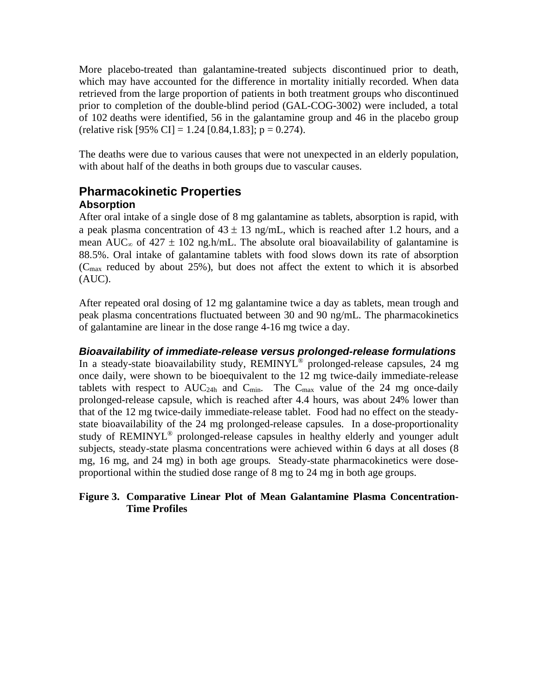More placebo-treated than galantamine-treated subjects discontinued prior to death, which may have accounted for the difference in mortality initially recorded. When data retrieved from the large proportion of patients in both treatment groups who discontinued prior to completion of the double-blind period (GAL-COG-3002) were included, a total of 102 deaths were identified, 56 in the galantamine group and 46 in the placebo group (relative risk [95% CI] = 1.24 [0.84,1.83]; p = 0.274).

The deaths were due to various causes that were not unexpected in an elderly population, with about half of the deaths in both groups due to vascular causes.

## **Pharmacokinetic Properties Absorption**

After oral intake of a single dose of 8 mg galantamine as tablets, absorption is rapid, with a peak plasma concentration of  $43 \pm 13$  ng/mL, which is reached after 1.2 hours, and a mean AUC<sub>∞</sub> of 427  $\pm$  102 ng.h/mL. The absolute oral bioavailability of galantamine is 88.5%. Oral intake of galantamine tablets with food slows down its rate of absorption  $(C_{\text{max}}$  reduced by about 25%), but does not affect the extent to which it is absorbed  $(AUC)$ .

After repeated oral dosing of 12 mg galantamine twice a day as tablets, mean trough and peak plasma concentrations fluctuated between 30 and 90 ng/mL. The pharmacokinetics of galantamine are linear in the dose range 4-16 mg twice a day.

#### *Bioavailability of immediate-release versus prolonged-release formulations*

In a steady-state bioavailability study, REMINYL® prolonged-release capsules, 24 mg once daily, were shown to be bioequivalent to the 12 mg twice-daily immediate-release tablets with respect to  $AUC_{24h}$  and  $C_{min}$ . The  $C_{max}$  value of the 24 mg once-daily prolonged-release capsule, which is reached after 4.4 hours, was about 24% lower than that of the 12 mg twice-daily immediate-release tablet. Food had no effect on the steadystate bioavailability of the 24 mg prolonged-release capsules. In a dose-proportionality study of REMINYL® prolonged-release capsules in healthy elderly and younger adult subjects, steady-state plasma concentrations were achieved within 6 days at all doses (8 mg, 16 mg, and 24 mg) in both age groups. Steady-state pharmacokinetics were doseproportional within the studied dose range of 8 mg to 24 mg in both age groups.

#### **Figure 3. Comparative Linear Plot of Mean Galantamine Plasma Concentration-Time Profiles**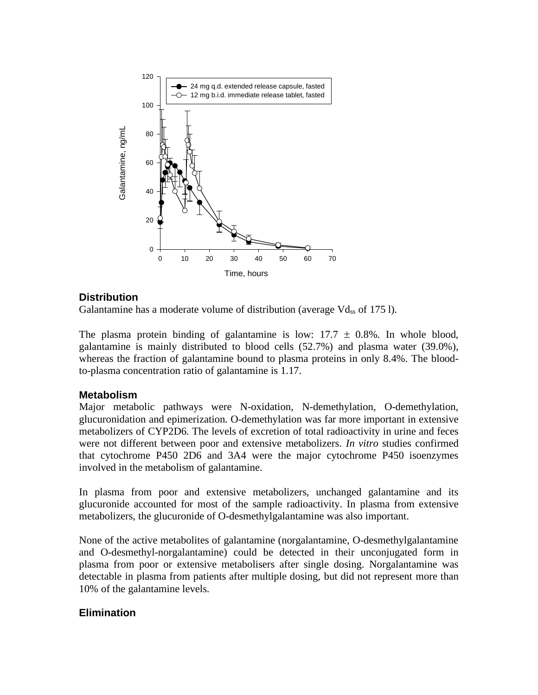

#### **Distribution**

Galantamine has a moderate volume of distribution (average  $Vd_{ss}$  of 175 l).

The plasma protein binding of galantamine is low:  $17.7 \pm 0.8\%$ . In whole blood, galantamine is mainly distributed to blood cells (52.7%) and plasma water (39.0%), whereas the fraction of galantamine bound to plasma proteins in only 8.4%. The bloodto-plasma concentration ratio of galantamine is 1.17.

#### **Metabolism**

Major metabolic pathways were N-oxidation, N-demethylation, O-demethylation, glucuronidation and epimerization. O-demethylation was far more important in extensive metabolizers of CYP2D6. The levels of excretion of total radioactivity in urine and feces were not different between poor and extensive metabolizers. *In vitro* studies confirmed that cytochrome P450 2D6 and 3A4 were the major cytochrome P450 isoenzymes involved in the metabolism of galantamine.

In plasma from poor and extensive metabolizers, unchanged galantamine and its glucuronide accounted for most of the sample radioactivity. In plasma from extensive metabolizers, the glucuronide of O-desmethylgalantamine was also important.

None of the active metabolites of galantamine (norgalantamine, O-desmethylgalantamine and O-desmethyl-norgalantamine) could be detected in their unconjugated form in plasma from poor or extensive metabolisers after single dosing. Norgalantamine was detectable in plasma from patients after multiple dosing, but did not represent more than 10% of the galantamine levels.

#### **Elimination**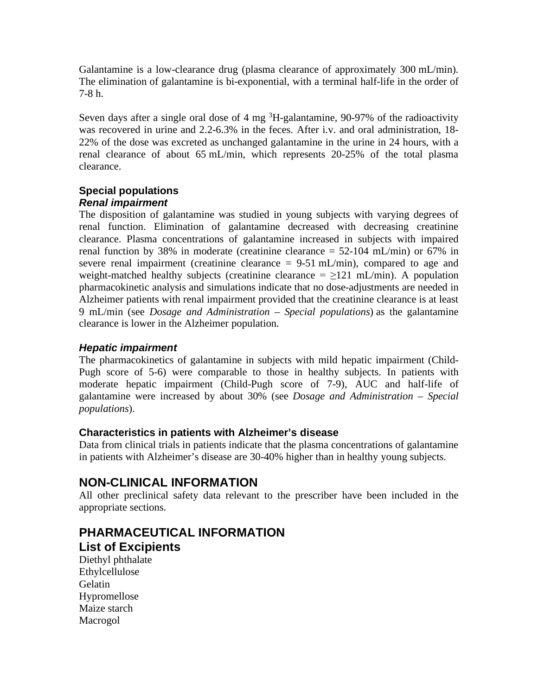Galantamine is a low-clearance drug (plasma clearance of approximately 300 mL/min). The elimination of galantamine is bi-exponential, with a terminal half-life in the order of 7-8 h.

Seven days after a single oral dose of  $4 \text{ mg}$ <sup>3</sup>H-galantamine, 90-97% of the radioactivity was recovered in urine and 2.2-6.3% in the feces. After i.v. and oral administration, 18- 22% of the dose was excreted as unchanged galantamine in the urine in 24 hours, with a renal clearance of about 65 mL/min, which represents 20-25% of the total plasma clearance.

#### **Special populations** *Renal impairment*

The disposition of galantamine was studied in young subjects with varying degrees of renal function. Elimination of galantamine decreased with decreasing creatinine clearance. Plasma concentrations of galantamine increased in subjects with impaired renal function by 38% in moderate (creatinine clearance  $= 52{\text -}104$  mL/min) or 67% in severe renal impairment (creatinine clearance  $= 9-51$  mL/min), compared to age and weight-matched healthy subjects (creatinine clearance  $= \ge 121$  mL/min). A population pharmacokinetic analysis and simulations indicate that no dose-adjustments are needed in Alzheimer patients with renal impairment provided that the creatinine clearance is at least 9 mL/min (see *Dosage and Administration – Special populations*) as the galantamine clearance is lower in the Alzheimer population.

#### *Hepatic impairment*

The pharmacokinetics of galantamine in subjects with mild hepatic impairment (Child-Pugh score of 5-6) were comparable to those in healthy subjects. In patients with moderate hepatic impairment (Child-Pugh score of 7-9), AUC and half-life of galantamine were increased by about 30% (see *Dosage and Administration – Special populations*).

#### **Characteristics in patients with Alzheimer's disease**

Data from clinical trials in patients indicate that the plasma concentrations of galantamine in patients with Alzheimer's disease are 30-40% higher than in healthy young subjects.

## **NON-CLINICAL INFORMATION**

All other preclinical safety data relevant to the prescriber have been included in the appropriate sections.

# **PHARMACEUTICAL INFORMATION**

#### **List of Excipients**

Diethyl phthalate Ethylcellulose Gelatin Hypromellose Maize starch Macrogol